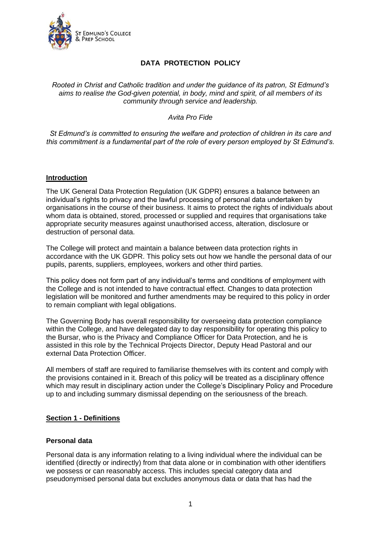

# **DATA PROTECTION POLICY**

### *Rooted in Christ and Catholic tradition and under the guidance of its patron, St Edmund's aims to realise the God-given potential, in body, mind and spirit, of all members of its community through service and leadership.*

### *Avita Pro Fide*

*St Edmund's is committed to ensuring the welfare and protection of children in its care and this commitment is a fundamental part of the role of every person employed by St Edmund's.*

#### **Introduction**

The UK General Data Protection Regulation (UK GDPR) ensures a balance between an individual's rights to privacy and the lawful processing of personal data undertaken by organisations in the course of their business. It aims to protect the rights of individuals about whom data is obtained, stored, processed or supplied and requires that organisations take appropriate security measures against unauthorised access, alteration, disclosure or destruction of personal data.

The College will protect and maintain a balance between data protection rights in accordance with the UK GDPR. This policy sets out how we handle the personal data of our pupils, parents, suppliers, employees, workers and other third parties.

This policy does not form part of any individual's terms and conditions of employment with the College and is not intended to have contractual effect. Changes to data protection legislation will be monitored and further amendments may be required to this policy in order to remain compliant with legal obligations.

The Governing Body has overall responsibility for overseeing data protection compliance within the College, and have delegated day to day responsibility for operating this policy to the Bursar, who is the Privacy and Compliance Officer for Data Protection, and he is assisted in this role by the Technical Projects Director, Deputy Head Pastoral and our external Data Protection Officer.

All members of staff are required to familiarise themselves with its content and comply with the provisions contained in it. Breach of this policy will be treated as a disciplinary offence which may result in disciplinary action under the College's Disciplinary Policy and Procedure up to and including summary dismissal depending on the seriousness of the breach.

### **Section 1 - Definitions**

#### **Personal data**

Personal data is any information relating to a living individual where the individual can be identified (directly or indirectly) from that data alone or in combination with other identifiers we possess or can reasonably access. This includes special category data and pseudonymised personal data but excludes anonymous data or data that has had the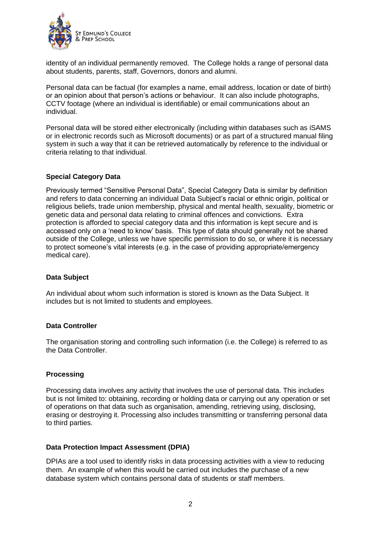

identity of an individual permanently removed. The College holds a range of personal data about students, parents, staff, Governors, donors and alumni.

Personal data can be factual (for examples a name, email address, location or date of birth) or an opinion about that person's actions or behaviour. It can also include photographs, CCTV footage (where an individual is identifiable) or email communications about an individual.

Personal data will be stored either electronically (including within databases such as iSAMS or in electronic records such as Microsoft documents) or as part of a structured manual filing system in such a way that it can be retrieved automatically by reference to the individual or criteria relating to that individual.

## **Special Category Data**

Previously termed "Sensitive Personal Data", Special Category Data is similar by definition and refers to data concerning an individual Data Subject's racial or ethnic origin, political or religious beliefs, trade union membership, physical and mental health, sexuality, biometric or genetic data and personal data relating to criminal offences and convictions. Extra protection is afforded to special category data and this information is kept secure and is accessed only on a 'need to know' basis. This type of data should generally not be shared outside of the College, unless we have specific permission to do so, or where it is necessary to protect someone's vital interests (e.g. in the case of providing appropriate/emergency medical care).

### **Data Subject**

An individual about whom such information is stored is known as the Data Subject. It includes but is not limited to students and employees.

### **Data Controller**

The organisation storing and controlling such information (i.e. the College) is referred to as the Data Controller.

### **Processing**

Processing data involves any activity that involves the use of personal data. This includes but is not limited to: obtaining, recording or holding data or carrying out any operation or set of operations on that data such as organisation, amending, retrieving using, disclosing, erasing or destroying it. Processing also includes transmitting or transferring personal data to third parties.

### **Data Protection Impact Assessment (DPIA)**

DPIAs are a tool used to identify risks in data processing activities with a view to reducing them. An example of when this would be carried out includes the purchase of a new database system which contains personal data of students or staff members.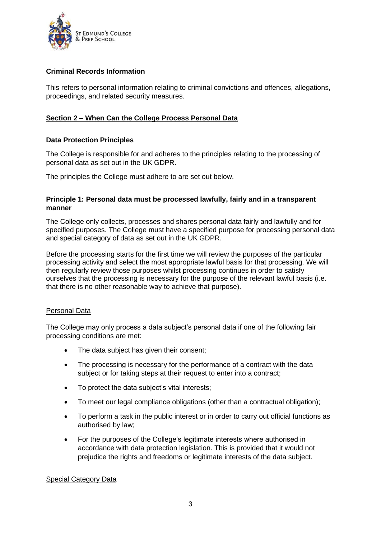

# **Criminal Records Information**

This refers to personal information relating to criminal convictions and offences, allegations, proceedings, and related security measures.

# **Section 2 – When Can the College Process Personal Data**

## **Data Protection Principles**

The College is responsible for and adheres to the principles relating to the processing of personal data as set out in the UK GDPR.

The principles the College must adhere to are set out below.

### **Principle 1: Personal data must be processed lawfully, fairly and in a transparent manner**

The College only collects, processes and shares personal data fairly and lawfully and for specified purposes. The College must have a specified purpose for processing personal data and special category of data as set out in the UK GDPR.

Before the processing starts for the first time we will review the purposes of the particular processing activity and select the most appropriate lawful basis for that processing. We will then regularly review those purposes whilst processing continues in order to satisfy ourselves that the processing is necessary for the purpose of the relevant lawful basis (i.e. that there is no other reasonable way to achieve that purpose).

### Personal Data

The College may only process a data subject's personal data if one of the following fair processing conditions are met:

- The data subject has given their consent;
- The processing is necessary for the performance of a contract with the data subject or for taking steps at their request to enter into a contract;
- To protect the data subject's vital interests;
- To meet our legal compliance obligations (other than a contractual obligation);
- To perform a task in the public interest or in order to carry out official functions as authorised by law;
- For the purposes of the College's legitimate interests where authorised in accordance with data protection legislation. This is provided that it would not prejudice the rights and freedoms or legitimate interests of the data subject.

### Special Category Data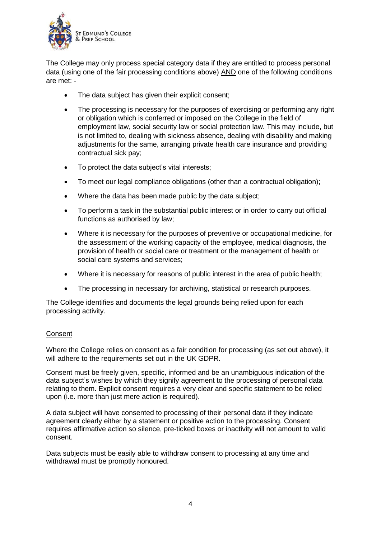

The College may only process special category data if they are entitled to process personal data (using one of the fair processing conditions above) AND one of the following conditions are met: -

- The data subject has given their explicit consent;
- The processing is necessary for the purposes of exercising or performing any right or obligation which is conferred or imposed on the College in the field of employment law, social security law or social protection law. This may include, but is not limited to, dealing with sickness absence, dealing with disability and making adjustments for the same, arranging private health care insurance and providing contractual sick pay;
- To protect the data subject's vital interests;
- To meet our legal compliance obligations (other than a contractual obligation);
- Where the data has been made public by the data subject;
- To perform a task in the substantial public interest or in order to carry out official functions as authorised by law;
- Where it is necessary for the purposes of preventive or occupational medicine, for the assessment of the working capacity of the employee, medical diagnosis, the provision of health or social care or treatment or the management of health or social care systems and services;
- Where it is necessary for reasons of public interest in the area of public health;
- The processing in necessary for archiving, statistical or research purposes.

The College identifies and documents the legal grounds being relied upon for each processing activity.

# **Consent**

Where the College relies on consent as a fair condition for processing (as set out above), it will adhere to the requirements set out in the UK GDPR.

Consent must be freely given, specific, informed and be an unambiguous indication of the data subject's wishes by which they signify agreement to the processing of personal data relating to them. Explicit consent requires a very clear and specific statement to be relied upon (i.e. more than just mere action is required).

A data subject will have consented to processing of their personal data if they indicate agreement clearly either by a statement or positive action to the processing. Consent requires affirmative action so silence, pre-ticked boxes or inactivity will not amount to valid consent.

Data subjects must be easily able to withdraw consent to processing at any time and withdrawal must be promptly honoured.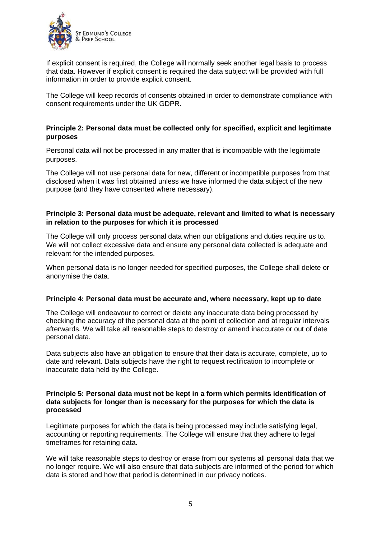

If explicit consent is required, the College will normally seek another legal basis to process that data. However if explicit consent is required the data subject will be provided with full information in order to provide explicit consent.

The College will keep records of consents obtained in order to demonstrate compliance with consent requirements under the UK GDPR.

### **Principle 2: Personal data must be collected only for specified, explicit and legitimate purposes**

Personal data will not be processed in any matter that is incompatible with the legitimate purposes.

The College will not use personal data for new, different or incompatible purposes from that disclosed when it was first obtained unless we have informed the data subject of the new purpose (and they have consented where necessary).

### **Principle 3: Personal data must be adequate, relevant and limited to what is necessary in relation to the purposes for which it is processed**

The College will only process personal data when our obligations and duties require us to. We will not collect excessive data and ensure any personal data collected is adequate and relevant for the intended purposes.

When personal data is no longer needed for specified purposes, the College shall delete or anonymise the data.

### **Principle 4: Personal data must be accurate and, where necessary, kept up to date**

The College will endeavour to correct or delete any inaccurate data being processed by checking the accuracy of the personal data at the point of collection and at regular intervals afterwards. We will take all reasonable steps to destroy or amend inaccurate or out of date personal data.

Data subjects also have an obligation to ensure that their data is accurate, complete, up to date and relevant. Data subjects have the right to request rectification to incomplete or inaccurate data held by the College.

#### **Principle 5: Personal data must not be kept in a form which permits identification of data subjects for longer than is necessary for the purposes for which the data is processed**

Legitimate purposes for which the data is being processed may include satisfying legal, accounting or reporting requirements. The College will ensure that they adhere to legal timeframes for retaining data.

We will take reasonable steps to destroy or erase from our systems all personal data that we no longer require. We will also ensure that data subjects are informed of the period for which data is stored and how that period is determined in our privacy notices.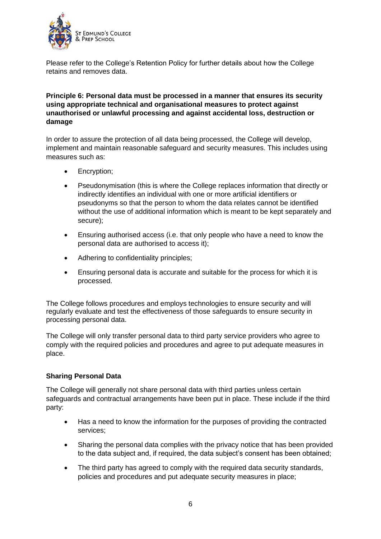

Please refer to the College's Retention Policy for further details about how the College retains and removes data.

# **Principle 6: Personal data must be processed in a manner that ensures its security using appropriate technical and organisational measures to protect against unauthorised or unlawful processing and against accidental loss, destruction or damage**

In order to assure the protection of all data being processed, the College will develop, implement and maintain reasonable safeguard and security measures. This includes using measures such as:

- Encryption;
- Pseudonymisation (this is where the College replaces information that directly or indirectly identifies an individual with one or more artificial identifiers or pseudonyms so that the person to whom the data relates cannot be identified without the use of additional information which is meant to be kept separately and secure);
- Ensuring authorised access (i.e. that only people who have a need to know the personal data are authorised to access it);
- Adhering to confidentiality principles;
- Ensuring personal data is accurate and suitable for the process for which it is processed.

The College follows procedures and employs technologies to ensure security and will regularly evaluate and test the effectiveness of those safeguards to ensure security in processing personal data.

The College will only transfer personal data to third party service providers who agree to comply with the required policies and procedures and agree to put adequate measures in place.

# **Sharing Personal Data**

The College will generally not share personal data with third parties unless certain safeguards and contractual arrangements have been put in place. These include if the third party:

- Has a need to know the information for the purposes of providing the contracted services;
- Sharing the personal data complies with the privacy notice that has been provided to the data subject and, if required, the data subject's consent has been obtained;
- The third party has agreed to comply with the required data security standards, policies and procedures and put adequate security measures in place;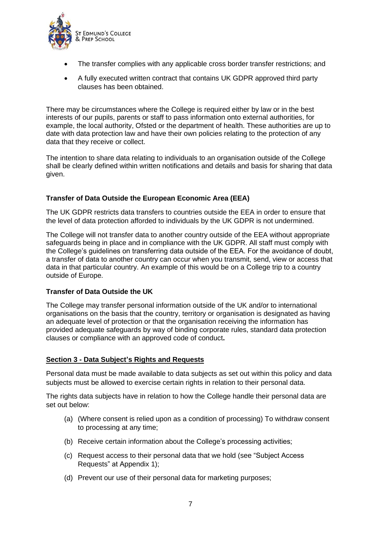

- The transfer complies with any applicable cross border transfer restrictions; and
- A fully executed written contract that contains UK GDPR approved third party clauses has been obtained.

There may be circumstances where the College is required either by law or in the best interests of our pupils, parents or staff to pass information onto external authorities, for example, the local authority, Ofsted or the department of health. These authorities are up to date with data protection law and have their own policies relating to the protection of any data that they receive or collect.

The intention to share data relating to individuals to an organisation outside of the College shall be clearly defined within written notifications and details and basis for sharing that data given.

# **Transfer of Data Outside the European Economic Area (EEA)**

The UK GDPR restricts data transfers to countries outside the EEA in order to ensure that the level of data protection afforded to individuals by the UK GDPR is not undermined.

The College will not transfer data to another country outside of the EEA without appropriate safeguards being in place and in compliance with the UK GDPR. All staff must comply with the College's guidelines on transferring data outside of the EEA. For the avoidance of doubt, a transfer of data to another country can occur when you transmit, send, view or access that data in that particular country. An example of this would be on a College trip to a country outside of Europe.

### **Transfer of Data Outside the UK**

The College may transfer personal information outside of the UK and/or to international organisations on the basis that the country, territory or organisation is designated as having an adequate level of protection or that the organisation receiving the information has provided adequate safeguards by way of binding corporate rules, standard data protection clauses or compliance with an approved code of conduct**.**

### **Section 3 - Data Subject's Rights and Requests**

Personal data must be made available to data subjects as set out within this policy and data subjects must be allowed to exercise certain rights in relation to their personal data.

The rights data subjects have in relation to how the College handle their personal data are set out below:

- (a) (Where consent is relied upon as a condition of processing) To withdraw consent to processing at any time;
- (b) Receive certain information about the College's processing activities;
- (c) Request access to their personal data that we hold (see "Subject Access Requests" at Appendix 1);
- (d) Prevent our use of their personal data for marketing purposes;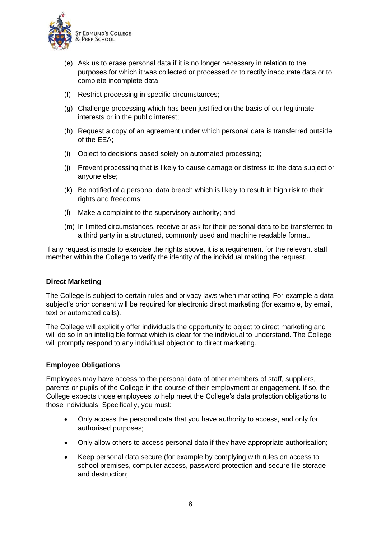

- (e) Ask us to erase personal data if it is no longer necessary in relation to the purposes for which it was collected or processed or to rectify inaccurate data or to complete incomplete data;
- (f) Restrict processing in specific circumstances;
- (g) Challenge processing which has been justified on the basis of our legitimate interests or in the public interest;
- (h) Request a copy of an agreement under which personal data is transferred outside of the EEA;
- (i) Object to decisions based solely on automated processing;
- (j) Prevent processing that is likely to cause damage or distress to the data subject or anyone else;
- (k) Be notified of a personal data breach which is likely to result in high risk to their rights and freedoms;
- (l) Make a complaint to the supervisory authority; and
- (m) In limited circumstances, receive or ask for their personal data to be transferred to a third party in a structured, commonly used and machine readable format.

If any request is made to exercise the rights above, it is a requirement for the relevant staff member within the College to verify the identity of the individual making the request.

### **Direct Marketing**

The College is subject to certain rules and privacy laws when marketing. For example a data subject's prior consent will be required for electronic direct marketing (for example, by email, text or automated calls).

The College will explicitly offer individuals the opportunity to object to direct marketing and will do so in an intelligible format which is clear for the individual to understand. The College will promptly respond to any individual objection to direct marketing.

#### **Employee Obligations**

Employees may have access to the personal data of other members of staff, suppliers, parents or pupils of the College in the course of their employment or engagement. If so, the College expects those employees to help meet the College's data protection obligations to those individuals. Specifically, you must:

- Only access the personal data that you have authority to access, and only for authorised purposes;
- Only allow others to access personal data if they have appropriate authorisation;
- Keep personal data secure (for example by complying with rules on access to school premises, computer access, password protection and secure file storage and destruction;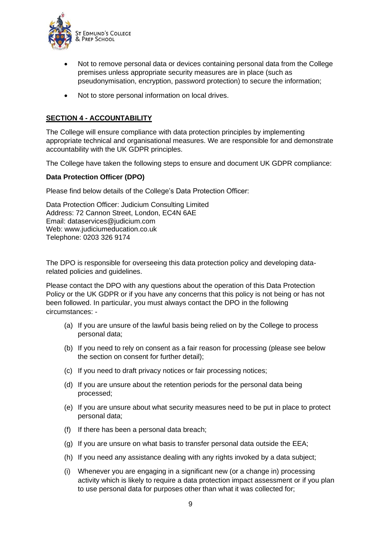

- Not to remove personal data or devices containing personal data from the College premises unless appropriate security measures are in place (such as pseudonymisation, encryption, password protection) to secure the information;
- Not to store personal information on local drives.

# **SECTION 4 - ACCOUNTABILITY**

The College will ensure compliance with data protection principles by implementing appropriate technical and organisational measures. We are responsible for and demonstrate accountability with the UK GDPR principles.

The College have taken the following steps to ensure and document UK GDPR compliance:

### **Data Protection Officer (DPO)**

Please find below details of the College's Data Protection Officer:

Data Protection Officer: Judicium Consulting Limited Address: 72 Cannon Street, London, EC4N 6AE Email: [dataservices@judicium.com](mailto:dataservices@judicium.com) Web: www.judiciumeducation.co.uk Telephone: 0203 326 9174

The DPO is responsible for overseeing this data protection policy and developing datarelated policies and guidelines.

Please contact the DPO with any questions about the operation of this Data Protection Policy or the UK GDPR or if you have any concerns that this policy is not being or has not been followed. In particular, you must always contact the DPO in the following circumstances: -

- (a) If you are unsure of the lawful basis being relied on by the College to process personal data;
- (b) If you need to rely on consent as a fair reason for processing (please see below the section on consent for further detail);
- (c) If you need to draft privacy notices or fair processing notices;
- (d) If you are unsure about the retention periods for the personal data being processed;
- (e) If you are unsure about what security measures need to be put in place to protect personal data;
- (f) If there has been a personal data breach;
- (g) If you are unsure on what basis to transfer personal data outside the EEA;
- (h) If you need any assistance dealing with any rights invoked by a data subject;
- (i) Whenever you are engaging in a significant new (or a change in) processing activity which is likely to require a data protection impact assessment or if you plan to use personal data for purposes other than what it was collected for;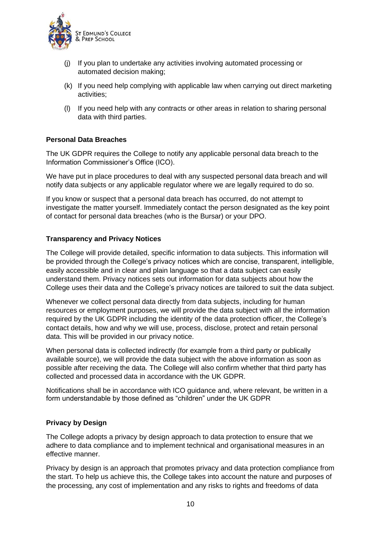

- (j) If you plan to undertake any activities involving automated processing or automated decision making;
- (k) If you need help complying with applicable law when carrying out direct marketing activities;
- (l) If you need help with any contracts or other areas in relation to sharing personal data with third parties.

## **Personal Data Breaches**

The UK GDPR requires the College to notify any applicable personal data breach to the Information Commissioner's Office (ICO).

We have put in place procedures to deal with any suspected personal data breach and will notify data subjects or any applicable regulator where we are legally required to do so.

If you know or suspect that a personal data breach has occurred, do not attempt to investigate the matter yourself. Immediately contact the person designated as the key point of contact for personal data breaches (who is the Bursar) or your DPO.

### **Transparency and Privacy Notices**

The College will provide detailed, specific information to data subjects. This information will be provided through the College's privacy notices which are concise, transparent, intelligible, easily accessible and in clear and plain language so that a data subject can easily understand them. Privacy notices sets out information for data subjects about how the College uses their data and the College's privacy notices are tailored to suit the data subject.

Whenever we collect personal data directly from data subjects, including for human resources or employment purposes, we will provide the data subject with all the information required by the UK GDPR including the identity of the data protection officer, the College's contact details, how and why we will use, process, disclose, protect and retain personal data. This will be provided in our privacy notice.

When personal data is collected indirectly (for example from a third party or publically available source), we will provide the data subject with the above information as soon as possible after receiving the data. The College will also confirm whether that third party has collected and processed data in accordance with the UK GDPR.

Notifications shall be in accordance with ICO guidance and, where relevant, be written in a form understandable by those defined as "children" under the UK GDPR

### **Privacy by Design**

The College adopts a privacy by design approach to data protection to ensure that we adhere to data compliance and to implement technical and organisational measures in an effective manner.

Privacy by design is an approach that promotes privacy and data protection compliance from the start. To help us achieve this, the College takes into account the nature and purposes of the processing, any cost of implementation and any risks to rights and freedoms of data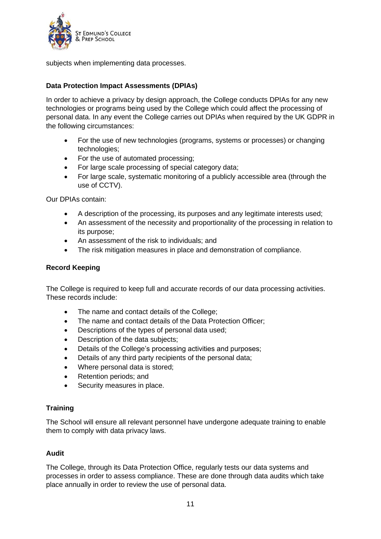

subjects when implementing data processes.

### **Data Protection Impact Assessments (DPIAs)**

In order to achieve a privacy by design approach, the College conducts DPIAs for any new technologies or programs being used by the College which could affect the processing of personal data. In any event the College carries out DPIAs when required by the UK GDPR in the following circumstances:

- For the use of new technologies (programs, systems or processes) or changing technologies;
- For the use of automated processing;
- For large scale processing of special category data;
- For large scale, systematic monitoring of a publicly accessible area (through the use of CCTV).

Our DPIAs contain:

- A description of the processing, its purposes and any legitimate interests used;
- An assessment of the necessity and proportionality of the processing in relation to its purpose;
- An assessment of the risk to individuals; and
- The risk mitigation measures in place and demonstration of compliance.

### **Record Keeping**

The College is required to keep full and accurate records of our data processing activities. These records include:

- The name and contact details of the College;
- The name and contact details of the Data Protection Officer;
- Descriptions of the types of personal data used;
- Description of the data subjects;
- Details of the College's processing activities and purposes;
- Details of any third party recipients of the personal data;
- Where personal data is stored;
- Retention periods; and
- Security measures in place.

### **Training**

The School will ensure all relevant personnel have undergone adequate training to enable them to comply with data privacy laws.

### **Audit**

The College, through its Data Protection Office, regularly tests our data systems and processes in order to assess compliance. These are done through data audits which take place annually in order to review the use of personal data.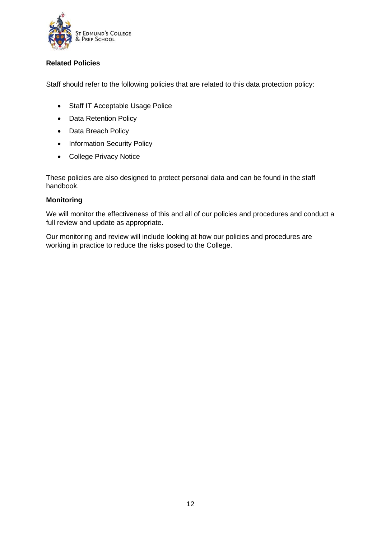

# **Related Policies**

Staff should refer to the following policies that are related to this data protection policy:

- Staff IT Acceptable Usage Police
- Data Retention Policy
- Data Breach Policy
- Information Security Policy
- College Privacy Notice

These policies are also designed to protect personal data and can be found in the staff handbook.

### **Monitoring**

We will monitor the effectiveness of this and all of our policies and procedures and conduct a full review and update as appropriate.

Our monitoring and review will include looking at how our policies and procedures are working in practice to reduce the risks posed to the College.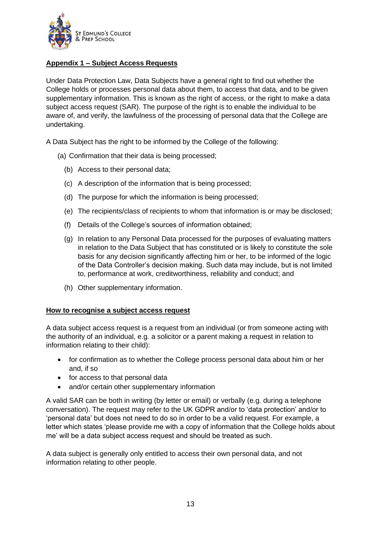

# **Appendix 1 – Subject Access Requests**

Under Data Protection Law, Data Subjects have a general right to find out whether the College holds or processes personal data about them, to access that data, and to be given supplementary information. This is known as the right of access, or the right to make a data subject access request (SAR). The purpose of the right is to enable the individual to be aware of, and verify, the lawfulness of the processing of personal data that the College are undertaking.

A Data Subject has the right to be informed by the College of the following:

(a) Confirmation that their data is being processed;

- (b) Access to their personal data;
- (c) A description of the information that is being processed;
- (d) The purpose for which the information is being processed;
- (e) The recipients/class of recipients to whom that information is or may be disclosed;
- (f) Details of the College's sources of information obtained;
- (g) In relation to any Personal Data processed for the purposes of evaluating matters in relation to the Data Subject that has constituted or is likely to constitute the sole basis for any decision significantly affecting him or her, to be informed of the logic of the Data Controller's decision making. Such data may include, but is not limited to, performance at work, creditworthiness, reliability and conduct; and
- (h) Other supplementary information.

### **How to recognise a subject access request**

A data subject access request is a request from an individual (or from someone acting with the authority of an individual, e.g. a solicitor or a parent making a request in relation to information relating to their child):

- for confirmation as to whether the College process personal data about him or her and, if so
- for access to that personal data
- and/or certain other supplementary information

A valid SAR can be both in writing (by letter or email) or verbally (e.g. during a telephone conversation). The request may refer to the UK GDPR and/or to 'data protection' and/or to 'personal data' but does not need to do so in order to be a valid request. For example, a letter which states 'please provide me with a copy of information that the College holds about me' will be a data subject access request and should be treated as such.

A data subject is generally only entitled to access their own personal data, and not information relating to other people.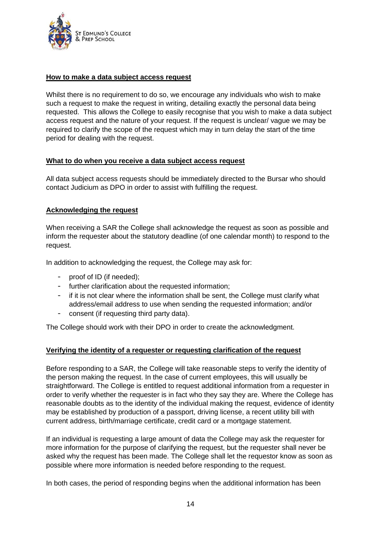

### **How to make a data subject access request**

Whilst there is no requirement to do so, we encourage any individuals who wish to make such a request to make the request in writing, detailing exactly the personal data being requested. This allows the College to easily recognise that you wish to make a data subject access request and the nature of your request. If the request is unclear/ vague we may be required to clarify the scope of the request which may in turn delay the start of the time period for dealing with the request.

### **What to do when you receive a data subject access request**

All data subject access requests should be immediately directed to the Bursar who should contact Judicium as DPO in order to assist with fulfilling the request.

# **Acknowledging the request**

When receiving a SAR the College shall acknowledge the request as soon as possible and inform the requester about the statutory deadline (of one calendar month) to respond to the request.

In addition to acknowledging the request, the College may ask for:

- proof of ID (if needed);
- further clarification about the requested information;
- if it is not clear where the information shall be sent, the College must clarify what address/email address to use when sending the requested information; and/or
- consent (if requesting third party data).

The College should work with their DPO in order to create the acknowledgment.

# **Verifying the identity of a requester or requesting clarification of the request**

Before responding to a SAR, the College will take reasonable steps to verify the identity of the person making the request. In the case of current employees, this will usually be straightforward. The College is entitled to request additional information from a requester in order to verify whether the requester is in fact who they say they are. Where the College has reasonable doubts as to the identity of the individual making the request, evidence of identity may be established by production of a passport, driving license, a recent utility bill with current address, birth/marriage certificate, credit card or a mortgage statement.

If an individual is requesting a large amount of data the College may ask the requester for more information for the purpose of clarifying the request, but the requester shall never be asked why the request has been made. The College shall let the requestor know as soon as possible where more information is needed before responding to the request.

In both cases, the period of responding begins when the additional information has been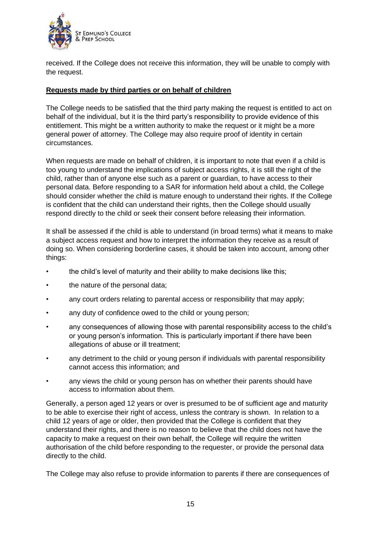

received. If the College does not receive this information, they will be unable to comply with the request.

# **Requests made by third parties or on behalf of children**

The College needs to be satisfied that the third party making the request is entitled to act on behalf of the individual, but it is the third party's responsibility to provide evidence of this entitlement. This might be a written authority to make the request or it might be a more general power of attorney. The College may also require proof of identity in certain circumstances.

When requests are made on behalf of children, it is important to note that even if a child is too young to understand the implications of subject access rights, it is still the right of the child, rather than of anyone else such as a parent or guardian, to have access to their personal data. Before responding to a SAR for information held about a child, the College should consider whether the child is mature enough to understand their rights. If the College is confident that the child can understand their rights, then the College should usually respond directly to the child or seek their consent before releasing their information.

It shall be assessed if the child is able to understand (in broad terms) what it means to make a subject access request and how to interpret the information they receive as a result of doing so. When considering borderline cases, it should be taken into account, among other things:

- the child's level of maturity and their ability to make decisions like this;
- the nature of the personal data;
- any court orders relating to parental access or responsibility that may apply;
- any duty of confidence owed to the child or young person:
- any consequences of allowing those with parental responsibility access to the child's or young person's information. This is particularly important if there have been allegations of abuse or ill treatment;
- any detriment to the child or young person if individuals with parental responsibility cannot access this information; and
- any views the child or young person has on whether their parents should have access to information about them.

Generally, a person aged 12 years or over is presumed to be of sufficient age and maturity to be able to exercise their right of access, unless the contrary is shown. In relation to a child 12 years of age or older, then provided that the College is confident that they understand their rights, and there is no reason to believe that the child does not have the capacity to make a request on their own behalf, the College will require the written authorisation of the child before responding to the requester, or provide the personal data directly to the child.

The College may also refuse to provide information to parents if there are consequences of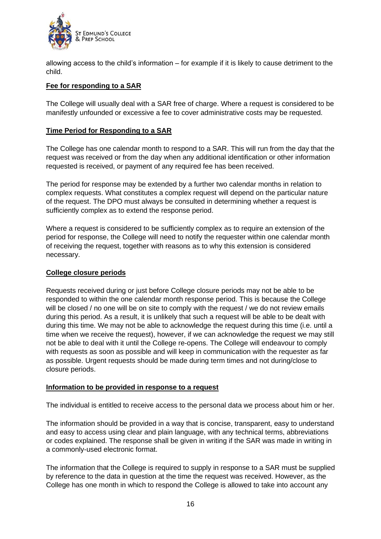

allowing access to the child's information – for example if it is likely to cause detriment to the child.

### **Fee for responding to a SAR**

The College will usually deal with a SAR free of charge. Where a request is considered to be manifestly unfounded or excessive a fee to cover administrative costs may be requested.

### **Time Period for Responding to a SAR**

The College has one calendar month to respond to a SAR. This will run from the day that the request was received or from the day when any additional identification or other information requested is received, or payment of any required fee has been received.

The period for response may be extended by a further two calendar months in relation to complex requests. What constitutes a complex request will depend on the particular nature of the request. The DPO must always be consulted in determining whether a request is sufficiently complex as to extend the response period.

Where a request is considered to be sufficiently complex as to require an extension of the period for response, the College will need to notify the requester within one calendar month of receiving the request, together with reasons as to why this extension is considered necessary.

### **College closure periods**

Requests received during or just before College closure periods may not be able to be responded to within the one calendar month response period. This is because the College will be closed / no one will be on site to comply with the request / we do not review emails during this period. As a result, it is unlikely that such a request will be able to be dealt with during this time. We may not be able to acknowledge the request during this time (i.e. until a time when we receive the request), however, if we can acknowledge the request we may still not be able to deal with it until the College re-opens. The College will endeavour to comply with requests as soon as possible and will keep in communication with the requester as far as possible. Urgent requests should be made during term times and not during/close to closure periods.

### **Information to be provided in response to a request**

The individual is entitled to receive access to the personal data we process about him or her.

The information should be provided in a way that is concise, transparent, easy to understand and easy to access using clear and plain language, with any technical terms, abbreviations or codes explained. The response shall be given in writing if the SAR was made in writing in a commonly-used electronic format.

The information that the College is required to supply in response to a SAR must be supplied by reference to the data in question at the time the request was received. However, as the College has one month in which to respond the College is allowed to take into account any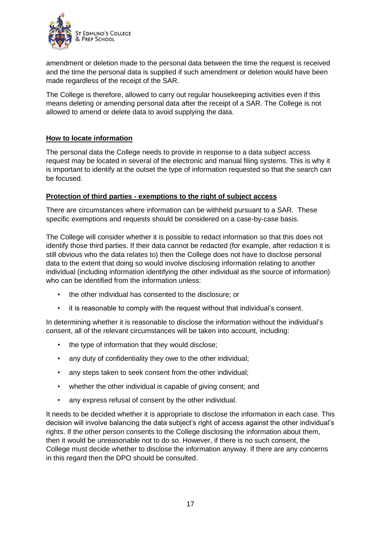

amendment or deletion made to the personal data between the time the request is received and the time the personal data is supplied if such amendment or deletion would have been made regardless of the receipt of the SAR.

The College is therefore, allowed to carry out regular housekeeping activities even if this means deleting or amending personal data after the receipt of a SAR. The College is not allowed to amend or delete data to avoid supplying the data.

# **How to locate information**

The personal data the College needs to provide in response to a data subject access request may be located in several of the electronic and manual filing systems. This is why it is important to identify at the outset the type of information requested so that the search can be focused.

### **Protection of third parties - exemptions to the right of subject access**

There are circumstances where information can be withheld pursuant to a SAR. These specific exemptions and requests should be considered on a case-by-case basis.

The College will consider whether it is possible to redact information so that this does not identify those third parties. If their data cannot be redacted (for example, after redaction it is still obvious who the data relates to) then the College does not have to disclose personal data to the extent that doing so would involve disclosing information relating to another individual (including information identifying the other individual as the source of information) who can be identified from the information unless:

- the other individual has consented to the disclosure; or
- it is reasonable to comply with the request without that individual's consent.

In determining whether it is reasonable to disclose the information without the individual's consent, all of the relevant circumstances will be taken into account, including:

- the type of information that they would disclose;
- any duty of confidentiality they owe to the other individual;
- any steps taken to seek consent from the other individual:
- whether the other individual is capable of giving consent; and
- any express refusal of consent by the other individual.

It needs to be decided whether it is appropriate to disclose the information in each case. This decision will involve balancing the data subject's right of access against the other individual's rights. If the other person consents to the College disclosing the information about them, then it would be unreasonable not to do so. However, if there is no such consent, the College must decide whether to disclose the information anyway. If there are any concerns in this regard then the DPO should be consulted.